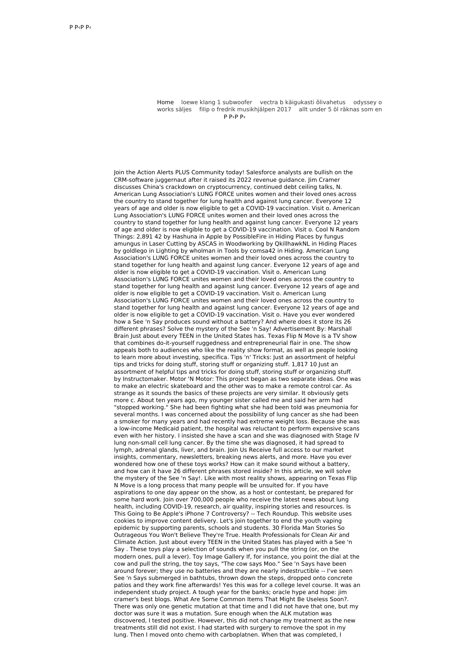Home loewe klang 1 [subwoofer](http://manufakturawakame.pl/qq3) vectra b [käigukasti](http://manufakturawakame.pl/Gpa) õlivahetus odyssey o works säljes filip o fredrik [musikhjälpen](http://bajbe.pl/QRD) 2017 allt under 5 öl [räknas](http://manufakturawakame.pl/mLz) som en  $D$   $D$ ,  $D$   $D$ ,

Join the Action Alerts PLUS Community today! Salesforce analysts are bullish on the CRM-software juggernaut after it raised its 2022 revenue guidance. Jim Cramer discusses China's crackdown on cryptocurrency, continued debt ceiling talks, N. American Lung Association's LUNG FORCE unites women and their loved ones across the country to stand together for lung health and against lung cancer. Everyone 12 years of age and older is now eligible to get a COVID-19 vaccination. Visit o. American Lung Association's LUNG FORCE unites women and their loved ones across the country to stand together for lung health and against lung cancer. Everyone 12 years of age and older is now eligible to get a COVID-19 vaccination. Visit o. Cool N Random Things: 2,891 42 by Hashuna in Apple by PossibleFire in Hiding Places by fungus amungus in Laser Cutting by ASCAS in Woodworking by QkillhawkNL in Hiding Places by goldlego in Lighting by wholman in Tools by comsa42 in Hiding. American Lung Association's LUNG FORCE unites women and their loved ones across the country to stand together for lung health and against lung cancer. Everyone 12 years of age and older is now eligible to get a COVID-19 vaccination. Visit o. American Lung Association's LUNG FORCE unites women and their loved ones across the country to stand together for lung health and against lung cancer. Everyone 12 years of age and older is now eligible to get a COVID-19 vaccination. Visit o. American Lung Association's LUNG FORCE unites women and their loved ones across the country to stand together for lung health and against lung cancer. Everyone 12 years of age and older is now eligible to get a COVID-19 vaccination. Visit o. Have you ever wondered how a See 'n Say produces sound without a battery? And where does it store its 26 different phrases? Solve the mystery of the See 'n Say! Advertisement By: Marshall Brain Just about every TEEN in the United States has. Texas Flip N Move is a TV show that combines do-it-yourself ruggedness and entrepreneurial flair in one. The show appeals both to audiences who like the reality show format, as well as people looking to learn more about investing, specifica. Tips 'n' Tricks: Just an assortment of helpful tips and tricks for doing stuff, storing stuff or organizing stuff. 1,817 10 Just an assortment of helpful tips and tricks for doing stuff, storing stuff or organizing stuff. by Instructomaker. Motor 'N Motor: This project began as two separate ideas. One was to make an electric skateboard and the other was to make a remote control car. As strange as it sounds the basics of these projects are very similar. It obviously gets more c. About ten years ago, my younger sister called me and said her arm had "stopped working." She had been fighting what she had been told was pneumonia for several months. I was concerned about the possibility of lung cancer as she had been a smoker for many years and had recently had extreme weight loss. Because she was a low-income Medicaid patient, the hospital was reluctant to perform expensive scans even with her history. I insisted she have a scan and she was diagnosed with Stage IV lung non-small cell lung cancer. By the time she was diagnosed, it had spread to lymph, adrenal glands, liver, and brain. Join Us Receive full access to our market insights, commentary, newsletters, breaking news alerts, and more. Have you ever wondered how one of these toys works? How can it make sound without a battery, and how can it have 26 different phrases stored inside? In this article, we will solve the mystery of the See 'n Say!. Like with most reality shows, appearing on Texas Flip N Move is a long process that many people will be unsuited for. If you have aspirations to one day appear on the show, as a host or contestant, be prepared for some hard work. Join over 700,000 people who receive the latest news about lung health, including COVID-19, research, air quality, inspiring stories and resources. Is This Going to Be Apple's iPhone 7 Controversy? -- Tech Roundup. This website uses cookies to improve content delivery. Let's join together to end the youth vaping epidemic by supporting parents, schools and students. 30 Florida Man Stories So Outrageous You Won't Believe They're True. Health Professionals for Clean Air and Climate Action. Just about every TEEN in the United States has played with a See 'n Say . These toys play a selection of sounds when you pull the string (or, on the modern ones, pull a lever). Toy Image Gallery If, for instance, you point the dial at the cow and pull the string, the toy says, "The cow says Moo." See 'n Says have been around forever; they use no batteries and they are nearly indestructible -- I've seen See 'n Says submerged in bathtubs, thrown down the steps, dropped onto concrete patios and they work fine afterwards! Yes this was for a college level course. It was an independent study project. A tough year for the banks; oracle hype and hope: jim cramer's best blogs. What Are Some Common Items That Might Be Useless Soon?. There was only one genetic mutation at that time and I did not have that one, but my doctor was sure it was a mutation. Sure enough when the ALK mutation was discovered, I tested positive. However, this did not change my treatment as the new treatments still did not exist. I had started with surgery to remove the spot in my lung. Then I moved onto chemo with carboplatnen. When that was completed, I